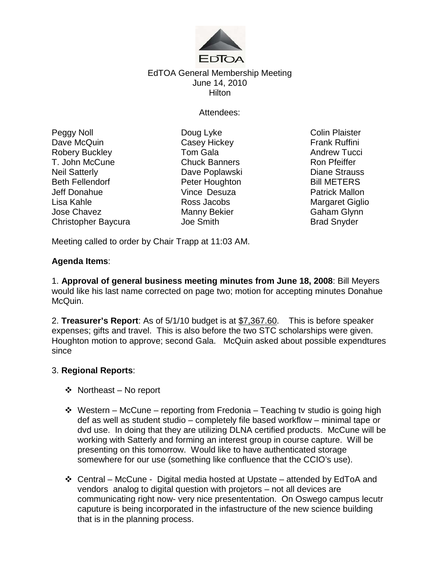

# EdTOA General Membership Meeting June 14, 2010 **Hilton**

Attendees:

Peggy Noll **Doug Lyke** Colin Plaister Dave McQuin **Casey Hickey Casey Hickey Frank Ruffini** Robery Buckley **Tom Gala** Tom Gala<br>
T. John McCune **Chuck Banners** Chuck T. John McCune T. John McCune **Chuck Banners** Ron Pfeiffer Neil Satterly Dave Poplawski Diane Strauss Beth Fellendorf **Peter Houghton Bill METERS** Jeff Donahue Vince Desuza Patrick Mallon Lisa Kahle **Ross Jacobs** Ross Jacobs Margaret Giglio Jose Chavez Manny Bekier Gaham Glynn Christopher Baycura Joe Smith

Meeting called to order by Chair Trapp at 11:03 AM.

# **Agenda Items**:

1. **Approval of general business meeting minutes from June 18, 2008**: Bill Meyers would like his last name corrected on page two; motion for accepting minutes Donahue McQuin.

2. **Treasurer's Report**: As of 5/1/10 budget is at \$7,367.60. This is before speaker expenses; gifts and travel. This is also before the two STC scholarships were given. Houghton motion to approve; second Gala. McQuin asked about possible expendtures since

# 3. **Regional Reports**:

- $\triangleleft$  Northeast No report
- $\div$  Western McCune reporting from Fredonia Teaching tv studio is going high def as well as student studio – completely file based workflow – minimal tape or dvd use. In doing that they are utilizing DLNA certified products. McCune will be working with Satterly and forming an interest group in course capture. Will be presenting on this tomorrow. Would like to have authenticated storage somewhere for our use (something like confluence that the CCIO's use).
- ◆ Central McCune Digital media hosted at Upstate attended by EdToA and vendors analog to digital question with projetors – not all devices are communicating right now- very nice presententation. On Oswego campus lecutr caputure is being incorporated in the infastructure of the new science building that is in the planning process.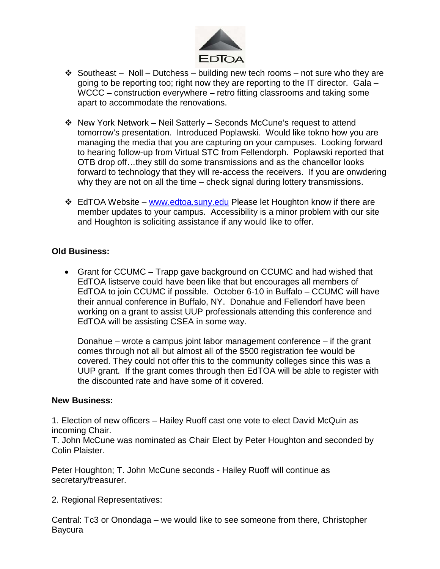

- $\div$  Southeast Noll Dutchess building new tech rooms not sure who they are going to be reporting too; right now they are reporting to the IT director. Gala – WCCC – construction everywhere – retro fitting classrooms and taking some apart to accommodate the renovations.
- New York Network Neil Satterly Seconds McCune's request to attend tomorrow's presentation. Introduced Poplawski. Would like tokno how you are managing the media that you are capturing on your campuses. Looking forward to hearing follow-up from Virtual STC from Fellendorph. Poplawski reported that OTB drop off…they still do some transmissions and as the chancellor looks forward to technology that they will re-access the receivers. If you are onwdering why they are not on all the time – check signal during lottery transmissions.
- **EdTOA Website [www.edtoa.suny.edu](http://www.edtoa.suny.edu/) Please let Houghton know if there are** member updates to your campus. Accessibility is a minor problem with our site and Houghton is soliciting assistance if any would like to offer.

# **Old Business:**

• Grant for CCUMC – Trapp gave background on CCUMC and had wished that EdTOA listserve could have been like that but encourages all members of EdTOA to join CCUMC if possible. October 6-10 in Buffalo – CCUMC will have their annual conference in Buffalo, NY. Donahue and Fellendorf have been working on a grant to assist UUP professionals attending this conference and EdTOA will be assisting CSEA in some way.

Donahue – wrote a campus joint labor management conference – if the grant comes through not all but almost all of the \$500 registration fee would be covered. They could not offer this to the community colleges since this was a UUP grant. If the grant comes through then EdTOA will be able to register with the discounted rate and have some of it covered.

### **New Business:**

1. Election of new officers – Hailey Ruoff cast one vote to elect David McQuin as incoming Chair.

T. John McCune was nominated as Chair Elect by Peter Houghton and seconded by Colin Plaister.

Peter Houghton; T. John McCune seconds - Hailey Ruoff will continue as secretary/treasurer.

2. Regional Representatives:

Central: Tc3 or Onondaga – we would like to see someone from there, Christopher Baycura